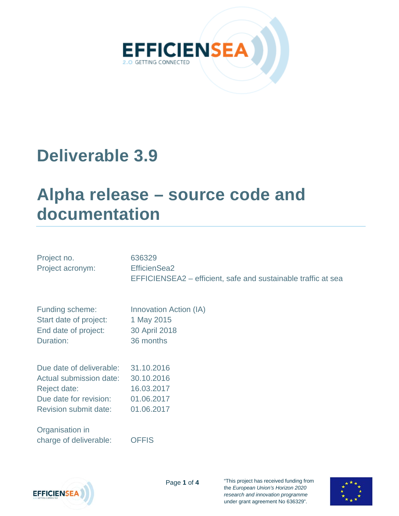

# **Deliverable 3.9**

## **Alpha release – source code and documentation**

| Project no.<br>Project acronym:           | 636329<br>EfficienSea2<br>EFFICIENSEA2 – efficient, safe and sustainable traffic at sea |
|-------------------------------------------|-----------------------------------------------------------------------------------------|
| Funding scheme:                           | Innovation Action (IA)                                                                  |
| Start date of project:                    | 1 May 2015                                                                              |
| End date of project:                      | 30 April 2018                                                                           |
| Duration:                                 | 36 months                                                                               |
| Due date of deliverable:                  | 31.10.2016                                                                              |
| Actual submission date:                   | 30.10.2016                                                                              |
| Reject date:                              | 16.03.2017                                                                              |
| Due date for revision:                    | 01.06.2017                                                                              |
| Revision submit date:                     | 01.06.2017                                                                              |
| Organisation in<br>charge of deliverable: | <b>OFFIS</b>                                                                            |



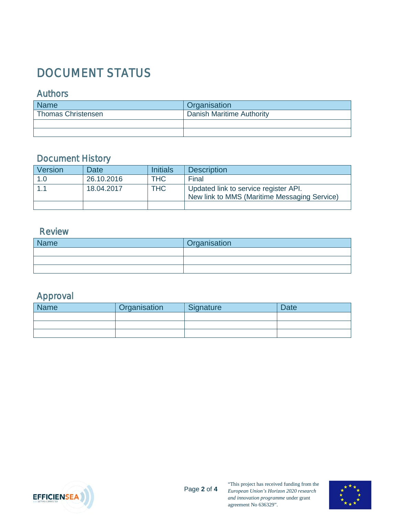## <span id="page-1-0"></span>DOCUMENT STATUS

#### <span id="page-1-1"></span>**Authors**

| <b>Name</b>               | <b>Organisation</b>       |
|---------------------------|---------------------------|
| <b>Thomas Christensen</b> | Danish Maritime Authority |
|                           |                           |
|                           |                           |

#### <span id="page-1-2"></span>Document History

| Version | Date       | <b>Initials</b> | <b>Description</b>                                                                    |
|---------|------------|-----------------|---------------------------------------------------------------------------------------|
| 1.0     | 26.10.2016 | <b>THC</b>      | Final                                                                                 |
|         | 18.04.2017 | <b>THC</b>      | Updated link to service register API.<br>New link to MMS (Maritime Messaging Service) |
|         |            |                 |                                                                                       |

#### <span id="page-1-3"></span>Review

| Name | Organisation |
|------|--------------|
|      |              |
|      |              |
|      |              |

#### <span id="page-1-4"></span>Approval

| <b>Name</b> | Organisation | Signature | <b>Date</b> |
|-------------|--------------|-----------|-------------|
|             |              |           |             |
|             |              |           |             |
|             |              |           |             |



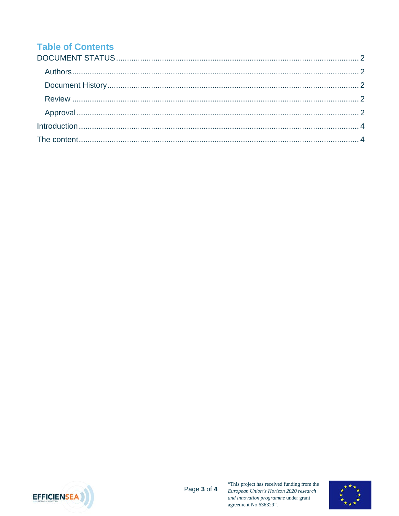#### **Table of Contents**